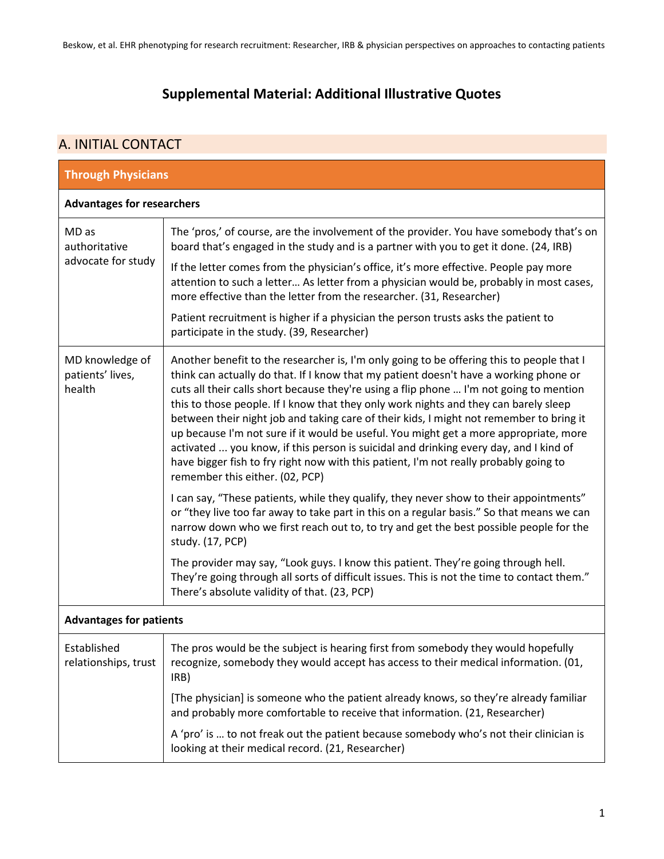## **Supplemental Material: Additional Illustrative Quotes**

## A. INITIAL CONTACT

| <b>Through Physicians</b>                     |                                                                                                                                                                                                                                                                                                                                                                                                                                                                                                                                                                                                                                                                                                                                                                                |  |
|-----------------------------------------------|--------------------------------------------------------------------------------------------------------------------------------------------------------------------------------------------------------------------------------------------------------------------------------------------------------------------------------------------------------------------------------------------------------------------------------------------------------------------------------------------------------------------------------------------------------------------------------------------------------------------------------------------------------------------------------------------------------------------------------------------------------------------------------|--|
| <b>Advantages for researchers</b>             |                                                                                                                                                                                                                                                                                                                                                                                                                                                                                                                                                                                                                                                                                                                                                                                |  |
| MD as<br>authoritative<br>advocate for study  | The 'pros,' of course, are the involvement of the provider. You have somebody that's on<br>board that's engaged in the study and is a partner with you to get it done. (24, IRB)                                                                                                                                                                                                                                                                                                                                                                                                                                                                                                                                                                                               |  |
|                                               | If the letter comes from the physician's office, it's more effective. People pay more<br>attention to such a letter As letter from a physician would be, probably in most cases,<br>more effective than the letter from the researcher. (31, Researcher)                                                                                                                                                                                                                                                                                                                                                                                                                                                                                                                       |  |
|                                               | Patient recruitment is higher if a physician the person trusts asks the patient to<br>participate in the study. (39, Researcher)                                                                                                                                                                                                                                                                                                                                                                                                                                                                                                                                                                                                                                               |  |
| MD knowledge of<br>patients' lives,<br>health | Another benefit to the researcher is, I'm only going to be offering this to people that I<br>think can actually do that. If I know that my patient doesn't have a working phone or<br>cuts all their calls short because they're using a flip phone  I'm not going to mention<br>this to those people. If I know that they only work nights and they can barely sleep<br>between their night job and taking care of their kids, I might not remember to bring it<br>up because I'm not sure if it would be useful. You might get a more appropriate, more<br>activated  you know, if this person is suicidal and drinking every day, and I kind of<br>have bigger fish to fry right now with this patient, I'm not really probably going to<br>remember this either. (02, PCP) |  |
|                                               | I can say, "These patients, while they qualify, they never show to their appointments"<br>or "they live too far away to take part in this on a regular basis." So that means we can<br>narrow down who we first reach out to, to try and get the best possible people for the<br>study. (17, PCP)                                                                                                                                                                                                                                                                                                                                                                                                                                                                              |  |
|                                               | The provider may say, "Look guys. I know this patient. They're going through hell.<br>They're going through all sorts of difficult issues. This is not the time to contact them."<br>There's absolute validity of that. (23, PCP)                                                                                                                                                                                                                                                                                                                                                                                                                                                                                                                                              |  |
| <b>Advantages for patients</b>                |                                                                                                                                                                                                                                                                                                                                                                                                                                                                                                                                                                                                                                                                                                                                                                                |  |
| Established<br>relationships, trust           | The pros would be the subject is hearing first from somebody they would hopefully<br>recognize, somebody they would accept has access to their medical information. (01,<br>IRB)                                                                                                                                                                                                                                                                                                                                                                                                                                                                                                                                                                                               |  |
|                                               | [The physician] is someone who the patient already knows, so they're already familiar<br>and probably more comfortable to receive that information. (21, Researcher)                                                                                                                                                                                                                                                                                                                                                                                                                                                                                                                                                                                                           |  |
|                                               | A 'pro' is  to not freak out the patient because somebody who's not their clinician is<br>looking at their medical record. (21, Researcher)                                                                                                                                                                                                                                                                                                                                                                                                                                                                                                                                                                                                                                    |  |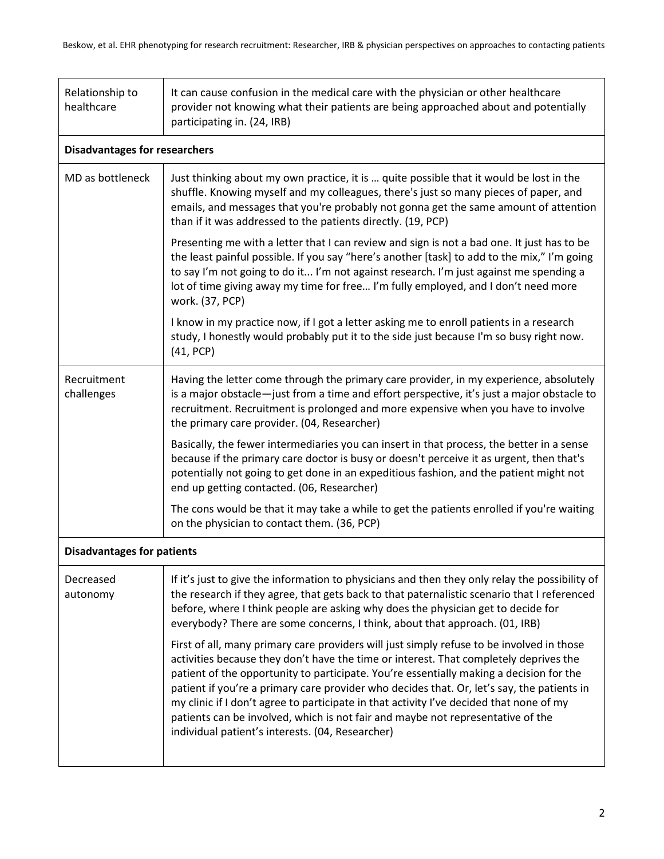| Relationship to<br>healthcare        | It can cause confusion in the medical care with the physician or other healthcare<br>provider not knowing what their patients are being approached about and potentially<br>participating in. (24, IRB)                                                                                                                                                                                                                                                                                                                                                                                                       |  |
|--------------------------------------|---------------------------------------------------------------------------------------------------------------------------------------------------------------------------------------------------------------------------------------------------------------------------------------------------------------------------------------------------------------------------------------------------------------------------------------------------------------------------------------------------------------------------------------------------------------------------------------------------------------|--|
| <b>Disadvantages for researchers</b> |                                                                                                                                                                                                                                                                                                                                                                                                                                                                                                                                                                                                               |  |
| MD as bottleneck                     | Just thinking about my own practice, it is  quite possible that it would be lost in the<br>shuffle. Knowing myself and my colleagues, there's just so many pieces of paper, and<br>emails, and messages that you're probably not gonna get the same amount of attention<br>than if it was addressed to the patients directly. (19, PCP)                                                                                                                                                                                                                                                                       |  |
|                                      | Presenting me with a letter that I can review and sign is not a bad one. It just has to be<br>the least painful possible. If you say "here's another [task] to add to the mix," I'm going<br>to say I'm not going to do it I'm not against research. I'm just against me spending a<br>lot of time giving away my time for free I'm fully employed, and I don't need more<br>work. (37, PCP)                                                                                                                                                                                                                  |  |
|                                      | I know in my practice now, if I got a letter asking me to enroll patients in a research<br>study, I honestly would probably put it to the side just because I'm so busy right now.<br>(41, PCP)                                                                                                                                                                                                                                                                                                                                                                                                               |  |
| Recruitment<br>challenges            | Having the letter come through the primary care provider, in my experience, absolutely<br>is a major obstacle-just from a time and effort perspective, it's just a major obstacle to<br>recruitment. Recruitment is prolonged and more expensive when you have to involve<br>the primary care provider. (04, Researcher)                                                                                                                                                                                                                                                                                      |  |
|                                      | Basically, the fewer intermediaries you can insert in that process, the better in a sense<br>because if the primary care doctor is busy or doesn't perceive it as urgent, then that's<br>potentially not going to get done in an expeditious fashion, and the patient might not<br>end up getting contacted. (06, Researcher)                                                                                                                                                                                                                                                                                 |  |
|                                      | The cons would be that it may take a while to get the patients enrolled if you're waiting<br>on the physician to contact them. (36, PCP)                                                                                                                                                                                                                                                                                                                                                                                                                                                                      |  |
| <b>Disadvantages for patients</b>    |                                                                                                                                                                                                                                                                                                                                                                                                                                                                                                                                                                                                               |  |
| Decreased<br>autonomy                | If it's just to give the information to physicians and then they only relay the possibility of<br>the research if they agree, that gets back to that paternalistic scenario that I referenced<br>before, where I think people are asking why does the physician get to decide for<br>everybody? There are some concerns, I think, about that approach. (01, IRB)                                                                                                                                                                                                                                              |  |
|                                      | First of all, many primary care providers will just simply refuse to be involved in those<br>activities because they don't have the time or interest. That completely deprives the<br>patient of the opportunity to participate. You're essentially making a decision for the<br>patient if you're a primary care provider who decides that. Or, let's say, the patients in<br>my clinic if I don't agree to participate in that activity I've decided that none of my<br>patients can be involved, which is not fair and maybe not representative of the<br>individual patient's interests. (04, Researcher) |  |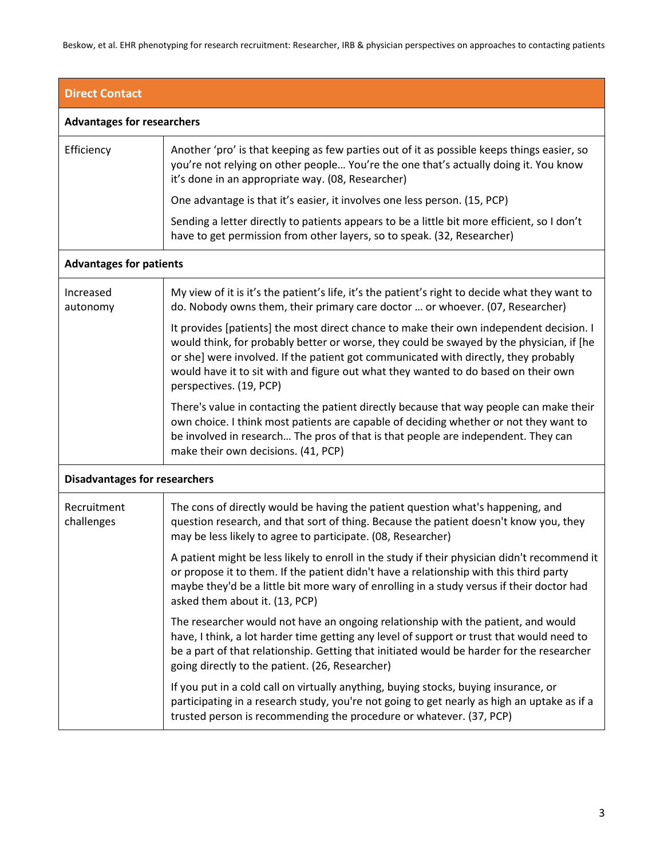Beskow, et al. EHR phenotyping for research recruitment: Researcher, IRB & physician perspectives on approaches to contacting patients

| <b>Direct Contact</b>                |                                                                                                                                                                                                                                                                                                                                                                                             |
|--------------------------------------|---------------------------------------------------------------------------------------------------------------------------------------------------------------------------------------------------------------------------------------------------------------------------------------------------------------------------------------------------------------------------------------------|
| <b>Advantages for researchers</b>    |                                                                                                                                                                                                                                                                                                                                                                                             |
| Efficiency                           | Another 'pro' is that keeping as few parties out of it as possible keeps things easier, so<br>you're not relying on other people You're the one that's actually doing it. You know<br>it's done in an appropriate way. (08, Researcher)                                                                                                                                                     |
|                                      | One advantage is that it's easier, it involves one less person. (15, PCP)                                                                                                                                                                                                                                                                                                                   |
|                                      | Sending a letter directly to patients appears to be a little bit more efficient, so I don't<br>have to get permission from other layers, so to speak. (32, Researcher)                                                                                                                                                                                                                      |
| <b>Advantages for patients</b>       |                                                                                                                                                                                                                                                                                                                                                                                             |
| Increased<br>autonomy                | My view of it is it's the patient's life, it's the patient's right to decide what they want to<br>do. Nobody owns them, their primary care doctor  or whoever. (07, Researcher)                                                                                                                                                                                                             |
|                                      | It provides [patients] the most direct chance to make their own independent decision. I<br>would think, for probably better or worse, they could be swayed by the physician, if [he<br>or she] were involved. If the patient got communicated with directly, they probably<br>would have it to sit with and figure out what they wanted to do based on their own<br>perspectives. (19, PCP) |
|                                      | There's value in contacting the patient directly because that way people can make their<br>own choice. I think most patients are capable of deciding whether or not they want to<br>be involved in research The pros of that is that people are independent. They can<br>make their own decisions. (41, PCP)                                                                                |
| <b>Disadvantages for researchers</b> |                                                                                                                                                                                                                                                                                                                                                                                             |
| Recruitment<br>challenges            | The cons of directly would be having the patient question what's happening, and<br>question research, and that sort of thing. Because the patient doesn't know you, they<br>may be less likely to agree to participate. (08, Researcher)                                                                                                                                                    |
|                                      | A patient might be less likely to enroll in the study if their physician didn't recommend it<br>or propose it to them. If the patient didn't have a relationship with this third party<br>maybe they'd be a little bit more wary of enrolling in a study versus if their doctor had<br>asked them about it. (13, PCP)                                                                       |
|                                      | The researcher would not have an ongoing relationship with the patient, and would<br>have, I think, a lot harder time getting any level of support or trust that would need to<br>be a part of that relationship. Getting that initiated would be harder for the researcher<br>going directly to the patient. (26, Researcher)                                                              |
|                                      | If you put in a cold call on virtually anything, buying stocks, buying insurance, or<br>participating in a research study, you're not going to get nearly as high an uptake as if a<br>trusted person is recommending the procedure or whatever. (37, PCP)                                                                                                                                  |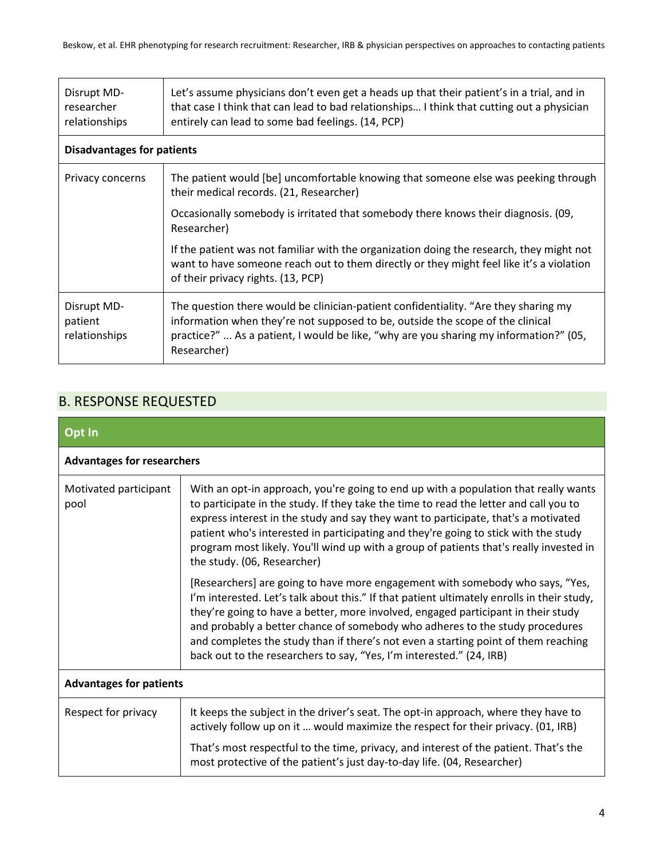| Disrupt MD-<br>researcher<br>relationships | Let's assume physicians don't even get a heads up that their patient's in a trial, and in<br>that case I think that can lead to bad relationships I think that cutting out a physician<br>entirely can lead to some bad feelings. (14, PCP)                                   |  |
|--------------------------------------------|-------------------------------------------------------------------------------------------------------------------------------------------------------------------------------------------------------------------------------------------------------------------------------|--|
| <b>Disadvantages for patients</b>          |                                                                                                                                                                                                                                                                               |  |
| Privacy concerns                           | The patient would [be] uncomfortable knowing that someone else was peeking through<br>their medical records. (21, Researcher)                                                                                                                                                 |  |
|                                            | Occasionally somebody is irritated that somebody there knows their diagnosis. (09,<br>Researcher)                                                                                                                                                                             |  |
|                                            | If the patient was not familiar with the organization doing the research, they might not<br>want to have someone reach out to them directly or they might feel like it's a violation<br>of their privacy rights. (13, PCP)                                                    |  |
| Disrupt MD-<br>patient<br>relationships    | The question there would be clinician-patient confidentiality. "Are they sharing my<br>information when they're not supposed to be, outside the scope of the clinical<br>practice?"  As a patient, I would be like, "why are you sharing my information?" (05,<br>Researcher) |  |

## B. RESPONSE REQUESTED

| Opt In                            |                                                                                                                                                                                                                                                                                                                                                                                                                                                                                                                |  |
|-----------------------------------|----------------------------------------------------------------------------------------------------------------------------------------------------------------------------------------------------------------------------------------------------------------------------------------------------------------------------------------------------------------------------------------------------------------------------------------------------------------------------------------------------------------|--|
| <b>Advantages for researchers</b> |                                                                                                                                                                                                                                                                                                                                                                                                                                                                                                                |  |
| Motivated participant<br>pool     | With an opt-in approach, you're going to end up with a population that really wants<br>to participate in the study. If they take the time to read the letter and call you to<br>express interest in the study and say they want to participate, that's a motivated<br>patient who's interested in participating and they're going to stick with the study<br>program most likely. You'll wind up with a group of patients that's really invested in<br>the study. (06, Researcher)                             |  |
|                                   | [Researchers] are going to have more engagement with somebody who says, "Yes,<br>I'm interested. Let's talk about this." If that patient ultimately enrolls in their study,<br>they're going to have a better, more involved, engaged participant in their study<br>and probably a better chance of somebody who adheres to the study procedures<br>and completes the study than if there's not even a starting point of them reaching<br>back out to the researchers to say, "Yes, I'm interested." (24, IRB) |  |
| <b>Advantages for patients</b>    |                                                                                                                                                                                                                                                                                                                                                                                                                                                                                                                |  |
| Respect for privacy               | It keeps the subject in the driver's seat. The opt-in approach, where they have to<br>actively follow up on it  would maximize the respect for their privacy. (01, IRB)                                                                                                                                                                                                                                                                                                                                        |  |
|                                   | That's most respectful to the time, privacy, and interest of the patient. That's the<br>most protective of the patient's just day-to-day life. (04, Researcher)                                                                                                                                                                                                                                                                                                                                                |  |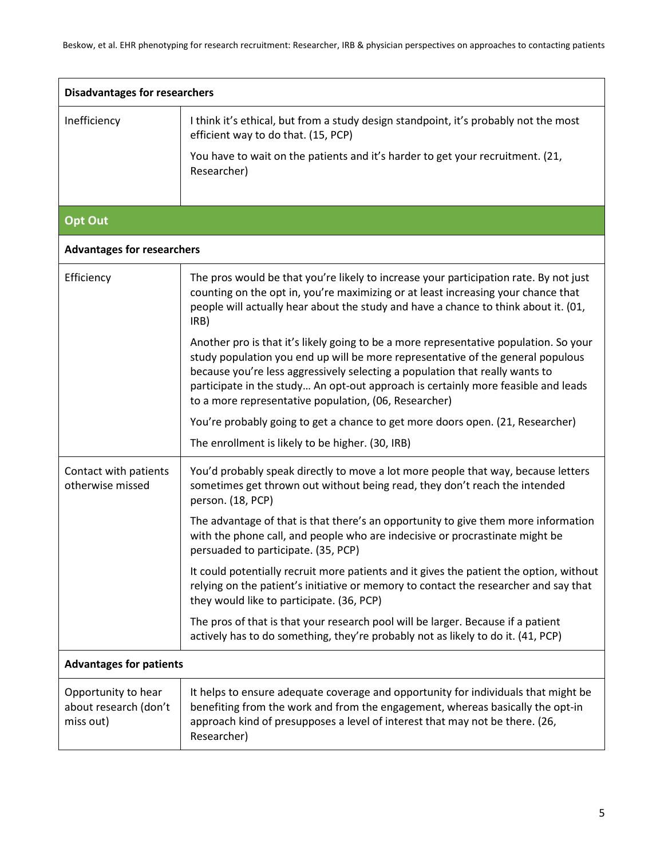| <b>Disadvantages for researchers</b>                      |                                                                                                                                                                                                                                                                                                                                                                                                        |  |
|-----------------------------------------------------------|--------------------------------------------------------------------------------------------------------------------------------------------------------------------------------------------------------------------------------------------------------------------------------------------------------------------------------------------------------------------------------------------------------|--|
| Inefficiency                                              | I think it's ethical, but from a study design standpoint, it's probably not the most<br>efficient way to do that. (15, PCP)                                                                                                                                                                                                                                                                            |  |
|                                                           | You have to wait on the patients and it's harder to get your recruitment. (21,<br>Researcher)                                                                                                                                                                                                                                                                                                          |  |
|                                                           |                                                                                                                                                                                                                                                                                                                                                                                                        |  |
| <b>Opt Out</b>                                            |                                                                                                                                                                                                                                                                                                                                                                                                        |  |
| <b>Advantages for researchers</b>                         |                                                                                                                                                                                                                                                                                                                                                                                                        |  |
| Efficiency                                                | The pros would be that you're likely to increase your participation rate. By not just<br>counting on the opt in, you're maximizing or at least increasing your chance that<br>people will actually hear about the study and have a chance to think about it. (01,<br>IRB)                                                                                                                              |  |
|                                                           | Another pro is that it's likely going to be a more representative population. So your<br>study population you end up will be more representative of the general populous<br>because you're less aggressively selecting a population that really wants to<br>participate in the study An opt-out approach is certainly more feasible and leads<br>to a more representative population, (06, Researcher) |  |
|                                                           | You're probably going to get a chance to get more doors open. (21, Researcher)                                                                                                                                                                                                                                                                                                                         |  |
|                                                           | The enrollment is likely to be higher. (30, IRB)                                                                                                                                                                                                                                                                                                                                                       |  |
| Contact with patients<br>otherwise missed                 | You'd probably speak directly to move a lot more people that way, because letters<br>sometimes get thrown out without being read, they don't reach the intended<br>person. (18, PCP)                                                                                                                                                                                                                   |  |
|                                                           | The advantage of that is that there's an opportunity to give them more information<br>with the phone call, and people who are indecisive or procrastinate might be<br>persuaded to participate. (35, PCP)                                                                                                                                                                                              |  |
|                                                           | It could potentially recruit more patients and it gives the patient the option, without<br>relying on the patient's initiative or memory to contact the researcher and say that<br>they would like to participate. (36, PCP)                                                                                                                                                                           |  |
|                                                           | The pros of that is that your research pool will be larger. Because if a patient<br>actively has to do something, they're probably not as likely to do it. (41, PCP)                                                                                                                                                                                                                                   |  |
| <b>Advantages for patients</b>                            |                                                                                                                                                                                                                                                                                                                                                                                                        |  |
| Opportunity to hear<br>about research (don't<br>miss out) | It helps to ensure adequate coverage and opportunity for individuals that might be<br>benefiting from the work and from the engagement, whereas basically the opt-in<br>approach kind of presupposes a level of interest that may not be there. (26,<br>Researcher)                                                                                                                                    |  |